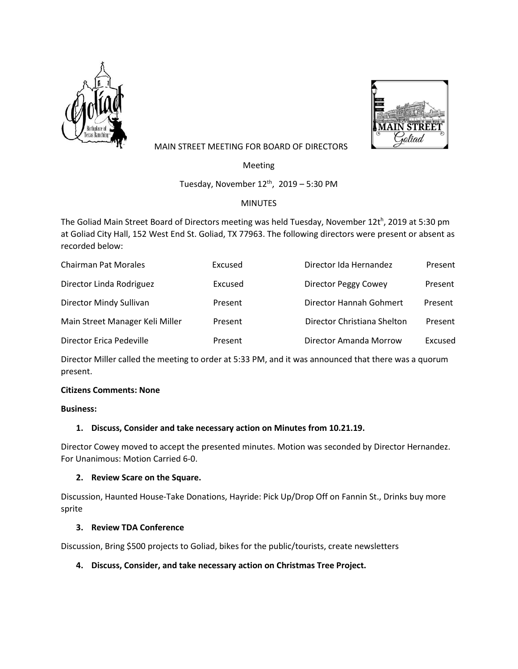



# MAIN STREET MEETING FOR BOARD OF DIRECTORS

Meeting

Tuesday, November  $12^{th}$ ,  $2019 - 5:30$  PM

# MINUTES

The Goliad Main Street Board of Directors meeting was held Tuesday, November 12t<sup>h</sup>, 2019 at 5:30 pm at Goliad City Hall, 152 West End St. Goliad, TX 77963. The following directors were present or absent as recorded below:

| <b>Chairman Pat Morales</b>     | Excused | Director Ida Hernandez      | Present |
|---------------------------------|---------|-----------------------------|---------|
| Director Linda Rodriguez        | Excused | Director Peggy Cowey        | Present |
| Director Mindy Sullivan         | Present | Director Hannah Gohmert     | Present |
| Main Street Manager Keli Miller | Present | Director Christiana Shelton | Present |
| Director Erica Pedeville        | Present | Director Amanda Morrow      | Excused |

Director Miller called the meeting to order at 5:33 PM, and it was announced that there was a quorum present.

#### **Citizens Comments: None**

## **Business:**

#### **1. Discuss, Consider and take necessary action on Minutes from 10.21.19.**

Director Cowey moved to accept the presented minutes. Motion was seconded by Director Hernandez. For Unanimous: Motion Carried 6-0.

#### **2. Review Scare on the Square.**

Discussion, Haunted House-Take Donations, Hayride: Pick Up/Drop Off on Fannin St., Drinks buy more sprite

#### **3. Review TDA Conference**

Discussion, Bring \$500 projects to Goliad, bikes for the public/tourists, create newsletters

# **4. Discuss, Consider, and take necessary action on Christmas Tree Project.**